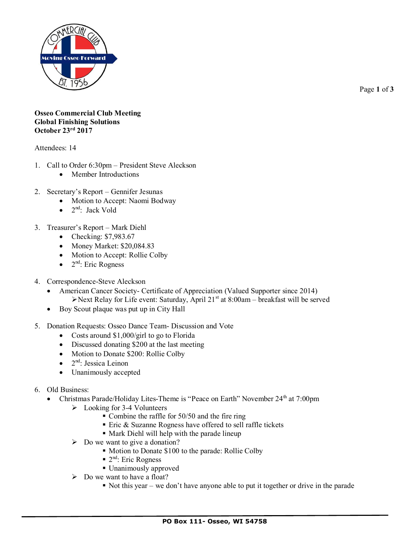

Page **1** of **3**

## **Osseo Commercial Club Meeting Global Finishing Solutions October 23rd 2017**

Attendees: 14

- 1. Call to Order 6:30pm President Steve Aleckson
	- Member Introductions
- 2. Secretary's Report Gennifer Jesunas
	- Motion to Accept: Naomi Bodway
	- $\bullet$  2<sup>nd</sup>: Jack Vold
- 3. Treasurer's Report Mark Diehl
	- Checking: \$7,983.67
	- Money Market: \$20,084.83
	- Motion to Accept: Rollie Colby
	- $\bullet$  2<sup>nd</sup>: Eric Rogness
- 4. Correspondence-Steve Aleckson
	- American Cancer Society- Certificate of Appreciation (Valued Supporter since 2014) ➢Next Relay for Life event: Saturday, April 21st at 8:00am – breakfast will be served
	- Boy Scout plaque was put up in City Hall
- 5. Donation Requests: Osseo Dance Team- Discussion and Vote
	- Costs around \$1,000/girl to go to Florida
	- Discussed donating \$200 at the last meeting
	- Motion to Donate \$200: Rollie Colby
	- $\bullet$  2<sup>nd</sup>: Jessica Leinon
	- Unanimously accepted
- 6. Old Business:
	- Christmas Parade/Holiday Lites-Theme is "Peace on Earth" November 24<sup>th</sup> at 7:00pm
		- ➢ Looking for 3-4 Volunteers
			- $\blacksquare$  Combine the raffle for 50/50 and the fire ring
			- Eric & Suzanne Rogness have offered to sell raffle tickets
			- Mark Diehl will help with the parade lineup
		- $\triangleright$  Do we want to give a donation?
			- Motion to Donate \$100 to the parade: Rollie Colby
			- $\blacksquare$  2<sup>nd</sup>: Eric Rogness
			- Unanimously approved
		- ➢ Do we want to have a float?
			- $\blacksquare$  Not this year we don't have anyone able to put it together or drive in the parade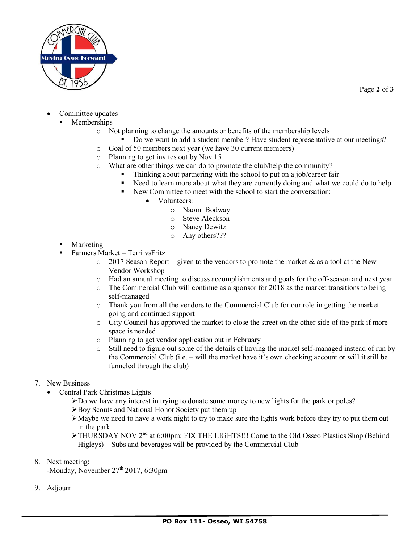

- Committee updates
	- **Memberships** 
		- o Not planning to change the amounts or benefits of the membership levels
			- Do we want to add a student member? Have student representative at our meetings?
		- o Goal of 50 members next year (we have 30 current members)
		- o Planning to get invites out by Nov 15
		- o What are other things we can do to promote the club/help the community?
			- Thinking about partnering with the school to put on a job/career fair
			- Need to learn more about what they are currently doing and what we could do to help
			- New Committee to meet with the school to start the conversation:
				- Volunteers:
					- o Naomi Bodway
					- o Steve Aleckson
					- o Nancy Dewitz
					- o Any others???
- Marketing
- Farmers Market Terri vsFritz
	- $\circ$  2017 Season Report given to the vendors to promote the market & as a tool at the New Vendor Workshop
	- o Had an annual meeting to discuss accomplishments and goals for the off-season and next year
	- $\circ$  The Commercial Club will continue as a sponsor for 2018 as the market transitions to being self-managed
	- o Thank you from all the vendors to the Commercial Club for our role in getting the market going and continued support
	- o City Council has approved the market to close the street on the other side of the park if more space is needed
	- o Planning to get vendor application out in February
	- o Still need to figure out some of the details of having the market self-managed instead of run by the Commercial Club (i.e. – will the market have it's own checking account or will it still be funneled through the club)
- 7. New Business
	- Central Park Christmas Lights
		- ➢Do we have any interest in trying to donate some money to new lights for the park or poles?
		- ➢Boy Scouts and National Honor Society put them up
		- ➢Maybe we need to have a work night to try to make sure the lights work before they try to put them out in the park
		- ➢THURSDAY NOV 2nd at 6:00pm: FIX THE LIGHTS!!! Come to the Old Osseo Plastics Shop (Behind Higleys) – Subs and beverages will be provided by the Commercial Club
- 8. Next meeting:

-Monday, November 27<sup>th</sup> 2017, 6:30pm

9. Adjourn